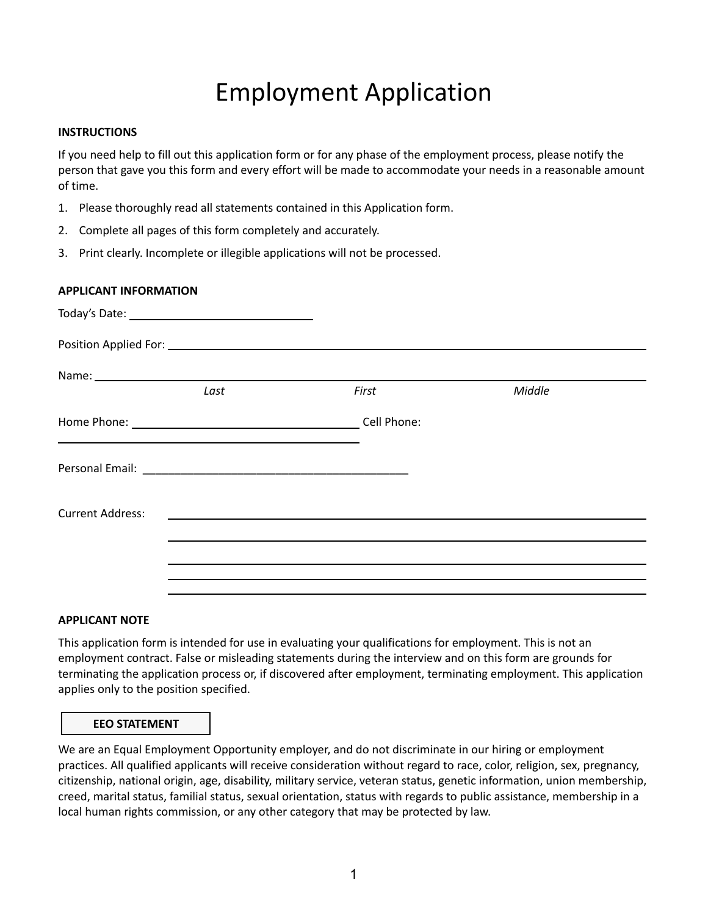# Employment Application

#### **INSTRUCTIONS**

If you need help to fill out this application form or for any phase of the employment process, please notify the person that gave you this form and every effort will be made to accommodate your needs in a reasonable amount of time.

- 1. Please thoroughly read all statements contained in this Application form.
- 2. Complete all pages of this form completely and accurately.
- 3. Print clearly. Incomplete or illegible applications will not be processed.

## **APPLICANT INFORMATION**

| First                   | Middle |
|-------------------------|--------|
| Home Phone: Cell Phone: |        |
|                         |        |
|                         |        |
|                         |        |
|                         |        |
|                         |        |

## **APPLICANT NOTE**

This application form is intended for use in evaluating your qualifications for employment. This is not an employment contract. False or misleading statements during the interview and on this form are grounds for terminating the application process or, if discovered after employment, terminating employment. This application applies only to the position specified.

## **EEO STATEMENT**

We are an Equal Employment Opportunity employer, and do not discriminate in our hiring or employment practices. All qualified applicants will receive consideration without regard to race, color, religion, sex, pregnancy, citizenship, national origin, age, disability, military service, veteran status, genetic information, union membership, creed, marital status, familial status, sexual orientation, status with regards to public assistance, membership in a local human rights commission, or any other category that may be protected by law.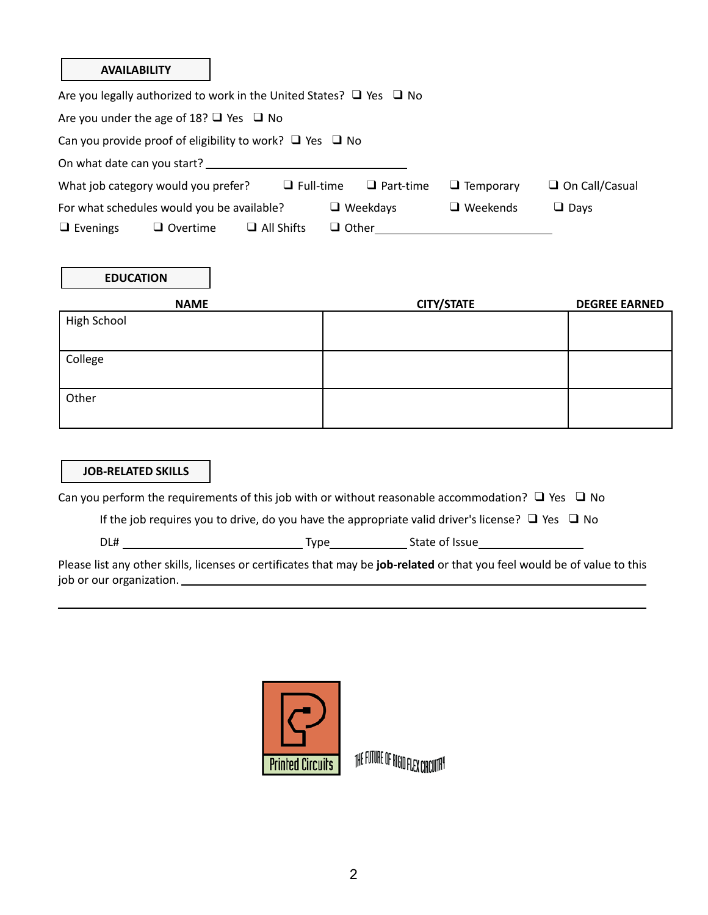#### **AVAILABILITY**

|                                                   | Are you legally authorized to work in the United States? $\Box$ Yes $\Box$ No |                   |              |                  |                  |                       |
|---------------------------------------------------|-------------------------------------------------------------------------------|-------------------|--------------|------------------|------------------|-----------------------|
| Are you under the age of 18? $\Box$ Yes $\Box$ No |                                                                               |                   |              |                  |                  |                       |
|                                                   | Can you provide proof of eligibility to work? $\Box$ Yes $\Box$ No            |                   |              |                  |                  |                       |
| On what date can you start?                       |                                                                               |                   |              |                  |                  |                       |
|                                                   | What job category would you prefer?                                           | $\Box$ Full-time  |              | $\Box$ Part-time | $\Box$ Temporary | $\Box$ On Call/Casual |
|                                                   | For what schedules would you be available?                                    |                   |              | $\Box$ Weekdays  | $\Box$ Weekends  | $\Box$ Davs           |
| $\Box$ Evenings                                   | $\Box$ Overtime                                                               | $\Box$ All Shifts | $\Box$ Other |                  |                  |                       |

## **EDUCATION**

| <b>NAME</b> | <b>CITY/STATE</b> | <b>DEGREE EARNED</b> |
|-------------|-------------------|----------------------|
| High School |                   |                      |
|             |                   |                      |
| College     |                   |                      |
|             |                   |                      |
| Other       |                   |                      |
|             |                   |                      |

## **JOB-RELATED SKILLS**

Can you perform the requirements of this job with or without reasonable accommodation?  $\Box$  Yes  $\Box$  No

If the job requires you to drive, do you have the appropriate valid driver's license?  $\Box$  Yes  $\Box$  No

DL# Type State of Issue

Please list any other skills, licenses or certificates that may be **job-related** or that you feel would be of value to this job or our organization.



THE FUTURE OF RIGID FLEX CIRCUITA<sup>Y</sup>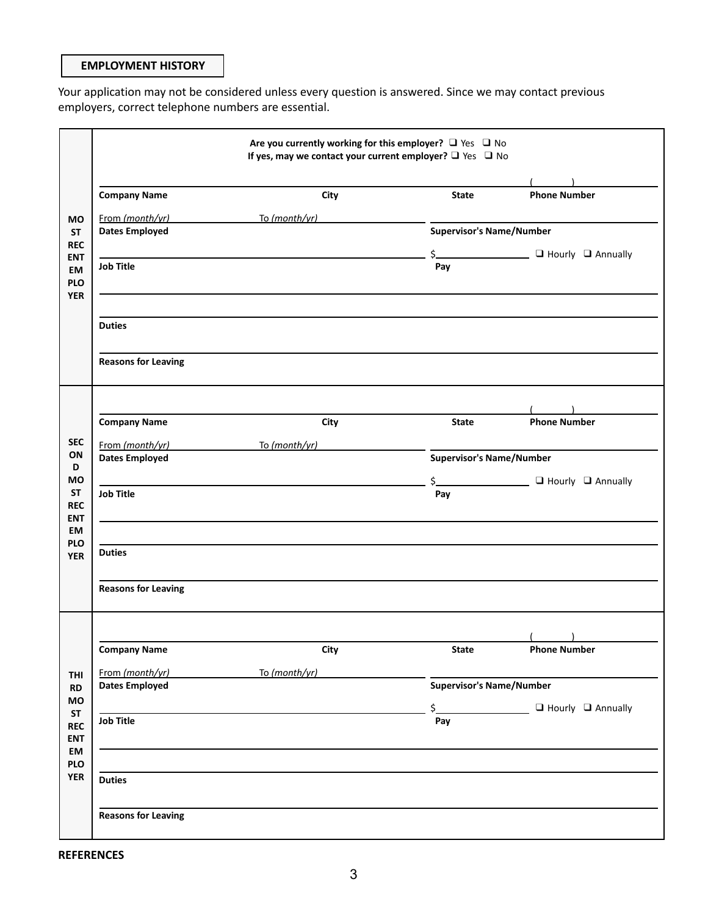## **EMPLOYMENT HISTORY**

Your application may not be considered unless every question is answered. Since we may contact previous employers, correct telephone numbers are essential.

|                          | Are you currently working for this employer? $\Box$ Yes $\Box$ No<br>If yes, may we contact your current employer? $\Box$ Yes $\Box$ No |               |                                 |                                                  |  |
|--------------------------|-----------------------------------------------------------------------------------------------------------------------------------------|---------------|---------------------------------|--------------------------------------------------|--|
|                          |                                                                                                                                         |               |                                 |                                                  |  |
|                          | <b>Company Name</b>                                                                                                                     | City          | <b>State</b>                    | <b>Phone Number</b>                              |  |
| <b>MO</b>                | From (month/yr) To (month/yr)                                                                                                           |               |                                 |                                                  |  |
| <b>ST</b>                | <b>Dates Employed</b>                                                                                                                   |               | <b>Supervisor's Name/Number</b> |                                                  |  |
| <b>REC</b><br><b>ENT</b> |                                                                                                                                         |               |                                 | \$_______________________ □ Hourly □ Annually    |  |
| EM                       | <b>Job Title</b>                                                                                                                        |               | Pay                             |                                                  |  |
| <b>PLO</b>               |                                                                                                                                         |               |                                 |                                                  |  |
| <b>YER</b>               |                                                                                                                                         |               |                                 |                                                  |  |
|                          | <b>Duties</b>                                                                                                                           |               |                                 |                                                  |  |
|                          | <b>Reasons for Leaving</b>                                                                                                              |               |                                 |                                                  |  |
|                          |                                                                                                                                         |               |                                 |                                                  |  |
|                          | <b>Company Name</b>                                                                                                                     | City          | State                           | <b>Phone Number</b>                              |  |
| <b>SEC</b>               | From (month/yr)                                                                                                                         | To (month/yr) |                                 |                                                  |  |
| ON<br>D                  | <b>Dates Employed</b>                                                                                                                   |               | <b>Supervisor's Name/Number</b> |                                                  |  |
| <b>MO</b>                |                                                                                                                                         |               |                                 | \$__________________________ □ Hourly □ Annually |  |
| <b>ST</b>                | <b>Job Title</b>                                                                                                                        |               | Pay                             |                                                  |  |
| <b>REC</b><br><b>ENT</b> |                                                                                                                                         |               |                                 |                                                  |  |
| EM                       |                                                                                                                                         |               |                                 |                                                  |  |
| <b>PLO</b><br><b>YER</b> | <b>Duties</b>                                                                                                                           |               |                                 |                                                  |  |
|                          | <b>Reasons for Leaving</b>                                                                                                              |               |                                 |                                                  |  |
|                          |                                                                                                                                         |               |                                 |                                                  |  |
|                          | <b>Company Name</b>                                                                                                                     | City          | <b>State</b>                    | <b>Phone Number</b>                              |  |
| <b>THI</b>               | From (month/yr)                                                                                                                         | To (month/yr) |                                 |                                                  |  |
| RD                       | <b>Dates Employed</b>                                                                                                                   |               | <b>Supervisor's Name/Number</b> |                                                  |  |
| MO<br><b>ST</b>          |                                                                                                                                         |               | $\zeta$                         | $\Box$ Hourly $\Box$ Annually                    |  |
| <b>REC</b>               | <b>Job Title</b>                                                                                                                        |               | Pay                             |                                                  |  |
| <b>ENT</b>               |                                                                                                                                         |               |                                 |                                                  |  |
| EM<br><b>PLO</b>         |                                                                                                                                         |               |                                 |                                                  |  |
| <b>YER</b>               | <b>Duties</b>                                                                                                                           |               |                                 |                                                  |  |
|                          |                                                                                                                                         |               |                                 |                                                  |  |
|                          | <b>Reasons for Leaving</b>                                                                                                              |               |                                 |                                                  |  |
|                          |                                                                                                                                         |               |                                 |                                                  |  |

**REFERENCES**